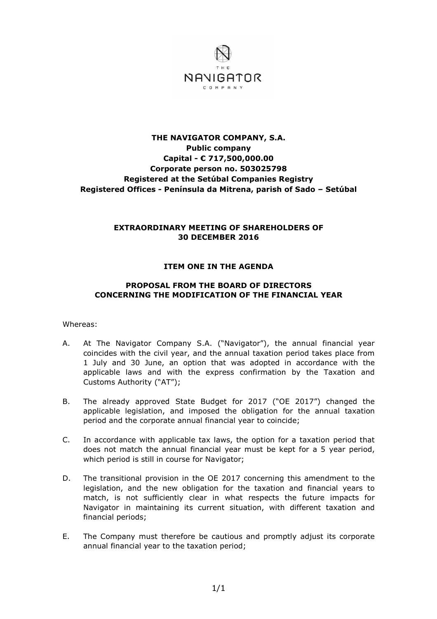

# **THE NAVIGATOR COMPANY, S.A. Public company Capital - € 717,500,000.00 Corporate person no. 503025798 Registered at the Setúbal Companies Registry Registered Offices - Península da Mitrena, parish of Sado – Setúbal**

## **EXTRAORDINARY MEETING OF SHAREHOLDERS OF 30 DECEMBER 2016**

### **ITEM ONE IN THE AGENDA**

### **PROPOSAL FROM THE BOARD OF DIRECTORS CONCERNING THE MODIFICATION OF THE FINANCIAL YEAR**

Whereas:

- A. At The Navigator Company S.A. ("Navigator"), the annual financial year coincides with the civil year, and the annual taxation period takes place from 1 July and 30 June, an option that was adopted in accordance with the applicable laws and with the express confirmation by the Taxation and Customs Authority ("AT");
- B. The already approved State Budget for 2017 ("OE 2017") changed the applicable legislation, and imposed the obligation for the annual taxation period and the corporate annual financial year to coincide;
- C. In accordance with applicable tax laws, the option for a taxation period that does not match the annual financial year must be kept for a 5 year period, which period is still in course for Navigator;
- D. The transitional provision in the OE 2017 concerning this amendment to the legislation, and the new obligation for the taxation and financial years to match, is not sufficiently clear in what respects the future impacts for Navigator in maintaining its current situation, with different taxation and financial periods;
- E. The Company must therefore be cautious and promptly adjust its corporate annual financial year to the taxation period;